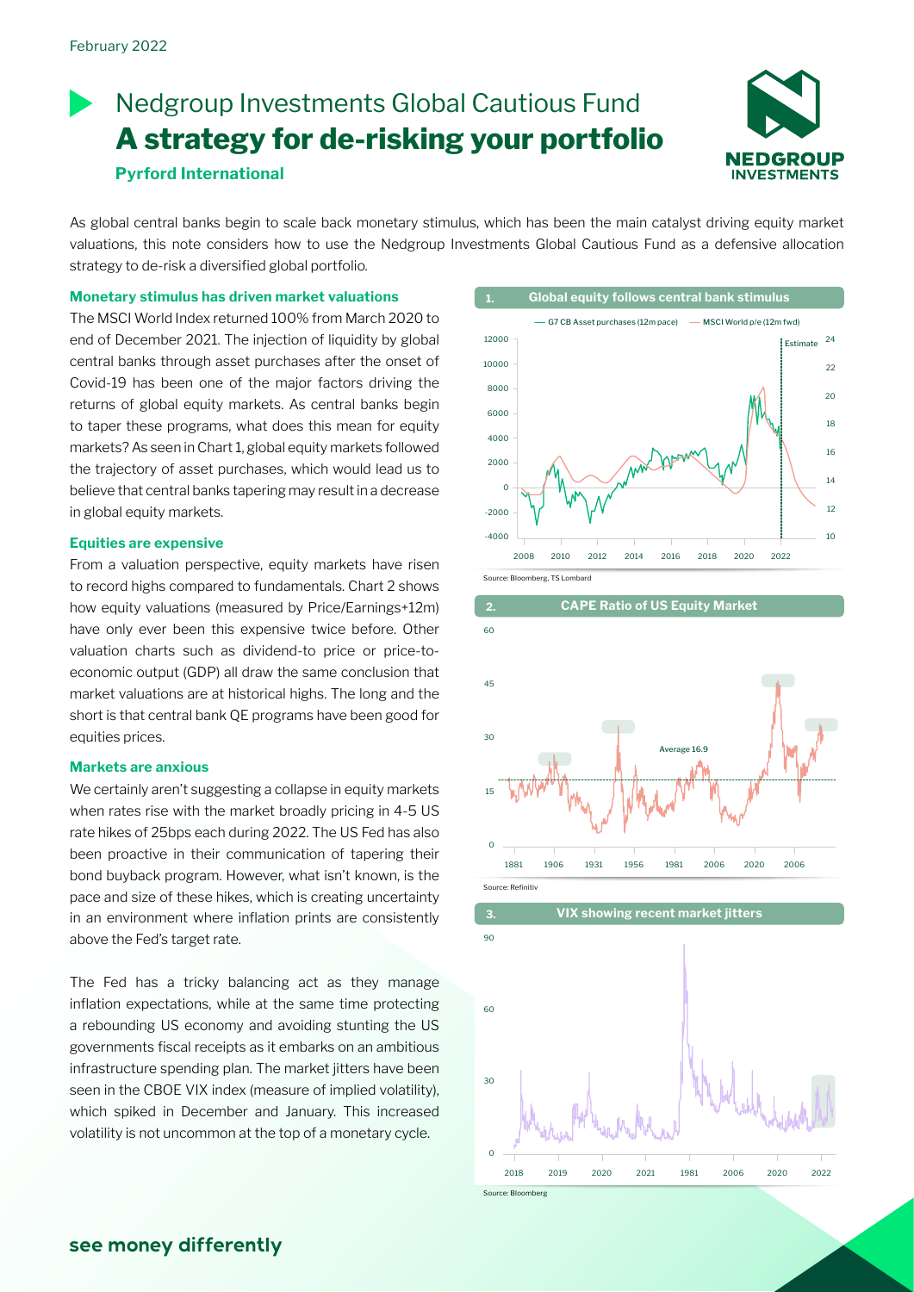# **Pyrford International** Nedgroup Investments Global Cautious Fund **A strategy for de-risking your portfolio**



As global central banks begin to scale back monetary stimulus, which has been the main catalyst driving equity market valuations, this note considers how to use the Nedgroup Investments Global Cautious Fund as a defensive allocation strategy to de-risk a diversified global portfolio.

**Monetary stimulus has driven market valuations**

The MSCI World Index returned 100% from March 2020 to end of December 2021. The injection of liquidity by global central banks through asset purchases after the onset of Covid-19 has been one of the major factors driving the returns of global equity markets. As central banks begin to taper these programs, what does this mean for equity markets? As seen in Chart 1, global equity markets followed the trajectory of asset purchases, which would lead us to believe that central banks tapering may result in a decrease in global equity markets.

### **Equities are expensive**

From a valuation perspective, equity markets have risen to record highs compared to fundamentals. Chart 2 shows how equity valuations (measured by Price/Earnings+12m) have only ever been this expensive twice before. Other valuation charts such as dividend-to price or price-toeconomic output (GDP) all draw the same conclusion that market valuations are at historical highs. The long and the short is that central bank QE programs have been good for equities prices.

### **Markets are anxious**

We certainly aren't suggesting a collapse in equity markets when rates rise with the market broadly pricing in 4-5 US rate hikes of 25bps each during 2022. The US Fed has also been proactive in their communication of tapering their bond buyback program. However, what isn't known, is the pace and size of these hikes, which is creating uncertainty in an environment where inflation prints are consistently above the Fed's target rate.

The Fed has a tricky balancing act as they manage inflation expectations, while at the same time protecting a rebounding US economy and avoiding stunting the US governments fiscal receipts as it embarks on an ambitious infrastructure spending plan. The market jitters have been seen in the CBOE VIX index (measure of implied volatility), which spiked in December and January. This increased volatility is not uncommon at the top of a monetary cycle.







Source: Bloomb